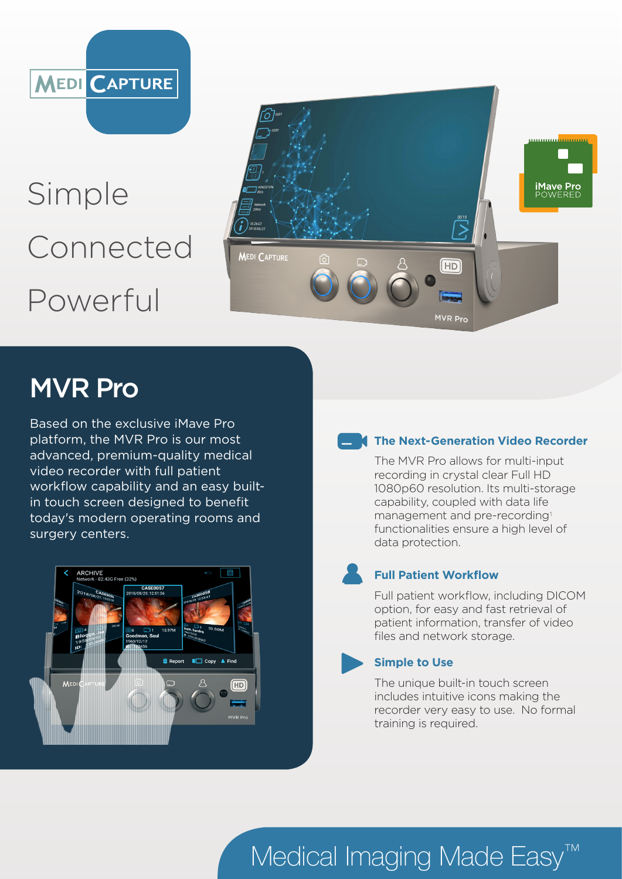

# Simple Connected Powerful



# MVR Pro

Based on the exclusive iMave Pro platform, the MVR Pro is our most advanced, premium-quality medical video recorder with full patient workflow capability and an easy builtin touch screen designed to benefit today's modern operating rooms and surgery centers.



### **The Next-Generation Video Recorder**

The MVR Pro allows for multi-input recording in crystal clear Full HD 1080p60 resolution. Its multi-storage capability, coupled with data life management and pre-recording<sup>1</sup> functionalities ensure a high level of data protection.

### **Full Patient Workflow**

Full patient workflow, including DICOM option, for easy and fast retrieval of patient information, transfer of video files and network storage.

### **Simple to Use**

The unique built-in touch screen includes intuitive icons making the recorder very easy to use. No formal training is required.

# Medical Imaging Made Easy<sup>™</sup>